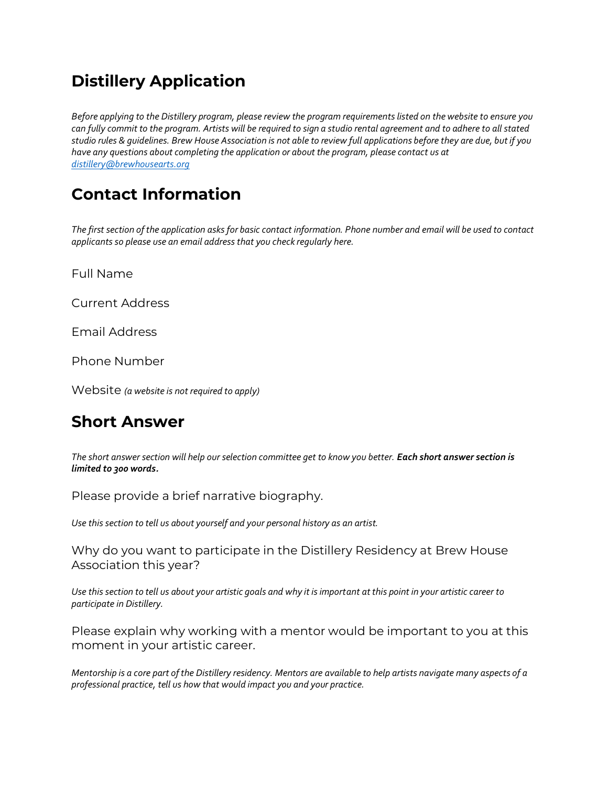### **Distillery Application**

*Before applying to the Distillery program, please review the program requirements listed on the website to ensure you can fully commit to the program. Artists will be required to sign a studio rental agreement and to adhere to all stated studio rules & guidelines. Brew House Association is not able to review full applications before they are due, but if you have any questions about completing the application or about the program, please contact us at [distillery@brewhousearts.org](mailto:distillery@brewhousearts.org)*

# **Contact Information**

*The first section of the application asks for basic contact information. Phone number and email will be used to contact applicants so please use an email address that you check regularly here.* 

Full Name

Current Address

Email Address

Phone Number

Website *(a website is not required to apply)*

### **Short Answer**

*The short answer section will help our selection committee get to know you better. Each short answer section is limited to 300 words.* 

Please provide a brief narrative biography.

*Use this section to tell us about yourself and your personal history as an artist.* 

Why do you want to participate in the Distillery Residency at Brew House Association this year?

*Use this section to tell us about your artistic goals and why it is important at this point in your artistic career to participate in Distillery.* 

Please explain why working with a mentor would be important to you at this moment in your artistic career.

*Mentorship is a core part of the Distillery residency. Mentors are available to help artists navigate many aspects of a professional practice, tell us how that would impact you and your practice.*